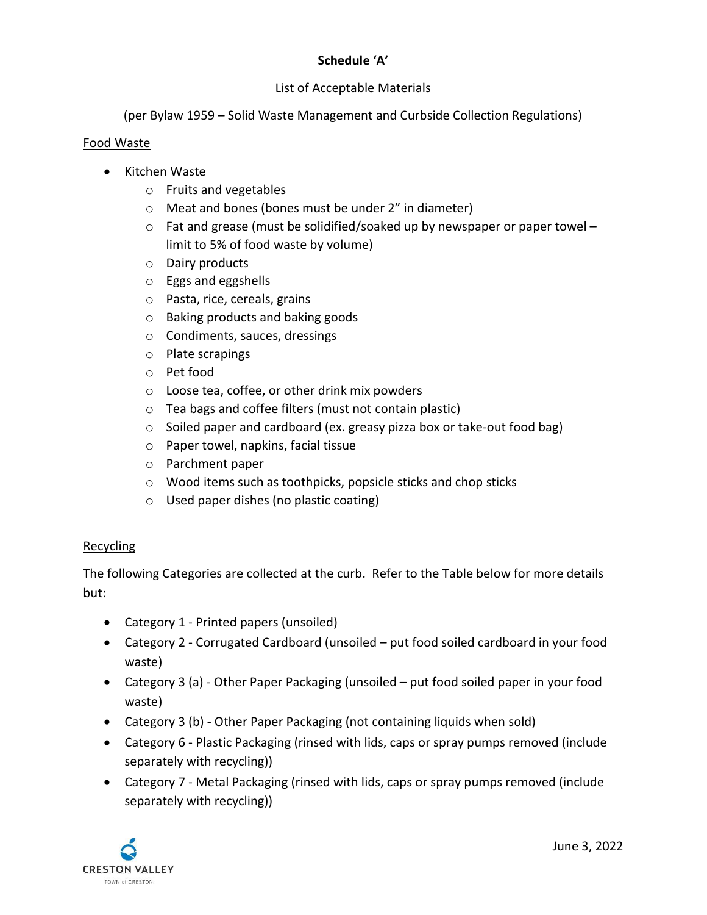# Schedule 'A'

## List of Acceptable Materials

(per Bylaw 1959 – Solid Waste Management and Curbside Collection Regulations)

#### Food Waste

- Kitchen Waste
	- o Fruits and vegetables
	- o Meat and bones (bones must be under 2" in diameter)
	- $\circ$  Fat and grease (must be solidified/soaked up by newspaper or paper towel limit to 5% of food waste by volume)
	- o Dairy products
	- o Eggs and eggshells
	- o Pasta, rice, cereals, grains
	- o Baking products and baking goods
	- o Condiments, sauces, dressings
	- o Plate scrapings
	- o Pet food
	- o Loose tea, coffee, or other drink mix powders
	- o Tea bags and coffee filters (must not contain plastic)
	- o Soiled paper and cardboard (ex. greasy pizza box or take-out food bag)
	- o Paper towel, napkins, facial tissue
	- o Parchment paper
	- o Wood items such as toothpicks, popsicle sticks and chop sticks
	- o Used paper dishes (no plastic coating)

### Recycling

The following Categories are collected at the curb. Refer to the Table below for more details but:

- Category 1 Printed papers (unsoiled)
- Category 2 Corrugated Cardboard (unsoiled put food soiled cardboard in your food waste)
- Category 3 (a) Other Paper Packaging (unsoiled put food soiled paper in your food waste)
- Category 3 (b) Other Paper Packaging (not containing liquids when sold)
- Category 6 Plastic Packaging (rinsed with lids, caps or spray pumps removed (include separately with recycling))
- Category 7 Metal Packaging (rinsed with lids, caps or spray pumps removed (include separately with recycling))

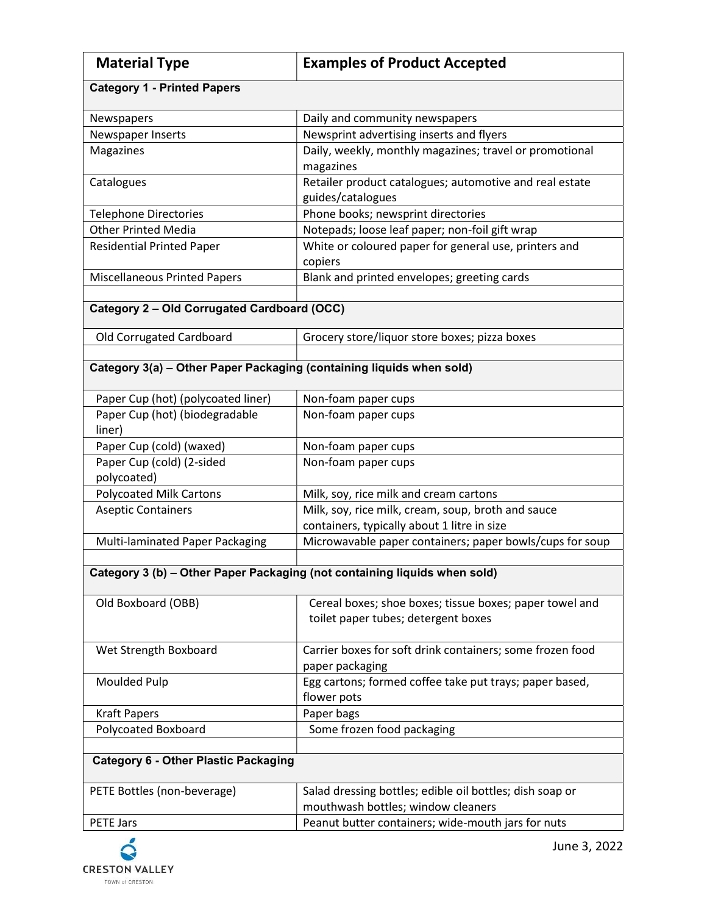| <b>Material Type</b>                                                      | <b>Examples of Product Accepted</b>                                                               |  |
|---------------------------------------------------------------------------|---------------------------------------------------------------------------------------------------|--|
| <b>Category 1 - Printed Papers</b>                                        |                                                                                                   |  |
| Newspapers                                                                | Daily and community newspapers                                                                    |  |
| Newspaper Inserts                                                         | Newsprint advertising inserts and flyers                                                          |  |
| Magazines                                                                 | Daily, weekly, monthly magazines; travel or promotional<br>magazines                              |  |
| Catalogues                                                                | Retailer product catalogues; automotive and real estate<br>guides/catalogues                      |  |
| <b>Telephone Directories</b>                                              | Phone books; newsprint directories                                                                |  |
| <b>Other Printed Media</b>                                                | Notepads; loose leaf paper; non-foil gift wrap                                                    |  |
| <b>Residential Printed Paper</b>                                          | White or coloured paper for general use, printers and<br>copiers                                  |  |
| <b>Miscellaneous Printed Papers</b>                                       | Blank and printed envelopes; greeting cards                                                       |  |
|                                                                           |                                                                                                   |  |
| Category 2 - Old Corrugated Cardboard (OCC)                               |                                                                                                   |  |
| Old Corrugated Cardboard                                                  | Grocery store/liquor store boxes; pizza boxes                                                     |  |
| Category 3(a) - Other Paper Packaging (containing liquids when sold)      |                                                                                                   |  |
| Paper Cup (hot) (polycoated liner)                                        | Non-foam paper cups                                                                               |  |
| Paper Cup (hot) (biodegradable<br>liner)                                  | Non-foam paper cups                                                                               |  |
| Paper Cup (cold) (waxed)                                                  | Non-foam paper cups                                                                               |  |
| Paper Cup (cold) (2-sided<br>polycoated)                                  | Non-foam paper cups                                                                               |  |
| <b>Polycoated Milk Cartons</b>                                            | Milk, soy, rice milk and cream cartons                                                            |  |
| <b>Aseptic Containers</b>                                                 | Milk, soy, rice milk, cream, soup, broth and sauce<br>containers, typically about 1 litre in size |  |
| Multi-laminated Paper Packaging                                           | Microwavable paper containers; paper bowls/cups for soup                                          |  |
|                                                                           |                                                                                                   |  |
| Category 3 (b) - Other Paper Packaging (not containing liquids when sold) |                                                                                                   |  |
| Old Boxboard (OBB)                                                        | Cereal boxes; shoe boxes; tissue boxes; paper towel and<br>toilet paper tubes; detergent boxes    |  |
| Wet Strength Boxboard                                                     | Carrier boxes for soft drink containers; some frozen food<br>paper packaging                      |  |
| Moulded Pulp                                                              | Egg cartons; formed coffee take put trays; paper based,<br>flower pots                            |  |
| <b>Kraft Papers</b>                                                       | Paper bags                                                                                        |  |
| Polycoated Boxboard                                                       | Some frozen food packaging                                                                        |  |
| <b>Category 6 - Other Plastic Packaging</b>                               |                                                                                                   |  |
| PETE Bottles (non-beverage)                                               | Salad dressing bottles; edible oil bottles; dish soap or<br>mouthwash bottles; window cleaners    |  |
| <b>PETE Jars</b>                                                          | Peanut butter containers; wide-mouth jars for nuts                                                |  |

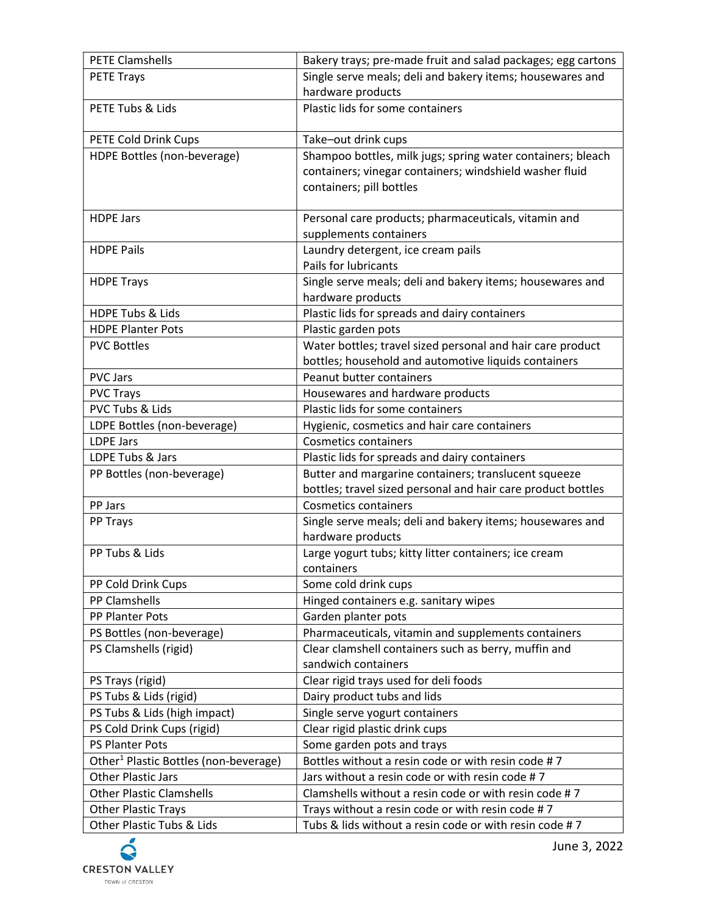| <b>PETE Clamshells</b>                             | Bakery trays; pre-made fruit and salad packages; egg cartons                   |
|----------------------------------------------------|--------------------------------------------------------------------------------|
| <b>PETE Trays</b>                                  | Single serve meals; deli and bakery items; housewares and                      |
|                                                    | hardware products                                                              |
| PETE Tubs & Lids                                   | Plastic lids for some containers                                               |
|                                                    |                                                                                |
| PETE Cold Drink Cups                               | Take-out drink cups                                                            |
| HDPE Bottles (non-beverage)                        | Shampoo bottles, milk jugs; spring water containers; bleach                    |
|                                                    | containers; vinegar containers; windshield washer fluid                        |
|                                                    | containers; pill bottles                                                       |
| <b>HDPE Jars</b>                                   |                                                                                |
|                                                    | Personal care products; pharmaceuticals, vitamin and<br>supplements containers |
| <b>HDPE Pails</b>                                  | Laundry detergent, ice cream pails                                             |
|                                                    | Pails for lubricants                                                           |
| <b>HDPE Trays</b>                                  | Single serve meals; deli and bakery items; housewares and                      |
|                                                    | hardware products                                                              |
| <b>HDPE Tubs &amp; Lids</b>                        | Plastic lids for spreads and dairy containers                                  |
| <b>HDPE Planter Pots</b>                           | Plastic garden pots                                                            |
| <b>PVC Bottles</b>                                 | Water bottles; travel sized personal and hair care product                     |
|                                                    | bottles; household and automotive liquids containers                           |
| <b>PVC Jars</b>                                    | Peanut butter containers                                                       |
| <b>PVC Trays</b>                                   | Housewares and hardware products                                               |
| PVC Tubs & Lids                                    | Plastic lids for some containers                                               |
| LDPE Bottles (non-beverage)                        | Hygienic, cosmetics and hair care containers                                   |
| <b>LDPE Jars</b>                                   | <b>Cosmetics containers</b>                                                    |
| LDPE Tubs & Jars                                   | Plastic lids for spreads and dairy containers                                  |
| PP Bottles (non-beverage)                          | Butter and margarine containers; translucent squeeze                           |
|                                                    | bottles; travel sized personal and hair care product bottles                   |
| PP Jars                                            | <b>Cosmetics containers</b>                                                    |
| PP Trays                                           | Single serve meals; deli and bakery items; housewares and                      |
|                                                    | hardware products                                                              |
| PP Tubs & Lids                                     | Large yogurt tubs; kitty litter containers; ice cream                          |
|                                                    | containers                                                                     |
| PP Cold Drink Cups                                 | Some cold drink cups                                                           |
| PP Clamshells                                      | Hinged containers e.g. sanitary wipes                                          |
| PP Planter Pots                                    | Garden planter pots                                                            |
| PS Bottles (non-beverage)<br>PS Clamshells (rigid) | Pharmaceuticals, vitamin and supplements containers                            |
|                                                    | Clear clamshell containers such as berry, muffin and<br>sandwich containers    |
| PS Trays (rigid)                                   | Clear rigid trays used for deli foods                                          |
| PS Tubs & Lids (rigid)                             | Dairy product tubs and lids                                                    |
| PS Tubs & Lids (high impact)                       | Single serve yogurt containers                                                 |
| PS Cold Drink Cups (rigid)                         | Clear rigid plastic drink cups                                                 |
| PS Planter Pots                                    | Some garden pots and trays                                                     |
| Other <sup>1</sup> Plastic Bottles (non-beverage)  | Bottles without a resin code or with resin code #7                             |
| <b>Other Plastic Jars</b>                          | Jars without a resin code or with resin code #7                                |
| <b>Other Plastic Clamshells</b>                    | Clamshells without a resin code or with resin code #7                          |
| <b>Other Plastic Trays</b>                         |                                                                                |
|                                                    | Trays without a resin code or with resin code #7                               |

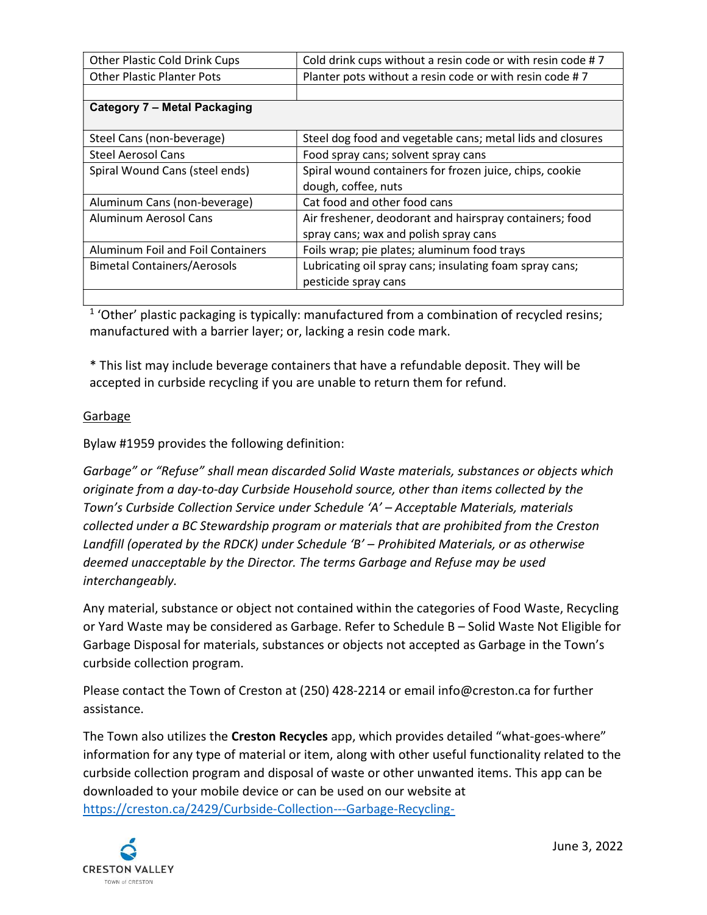| Other Plastic Cold Drink Cups            | Cold drink cups without a resin code or with resin code #7 |  |
|------------------------------------------|------------------------------------------------------------|--|
| <b>Other Plastic Planter Pots</b>        | Planter pots without a resin code or with resin code #7    |  |
|                                          |                                                            |  |
| Category 7 - Metal Packaging             |                                                            |  |
|                                          |                                                            |  |
| Steel Cans (non-beverage)                | Steel dog food and vegetable cans; metal lids and closures |  |
| Steel Aerosol Cans                       | Food spray cans; solvent spray cans                        |  |
| Spiral Wound Cans (steel ends)           | Spiral wound containers for frozen juice, chips, cookie    |  |
|                                          | dough, coffee, nuts                                        |  |
| Aluminum Cans (non-beverage)             | Cat food and other food cans                               |  |
| Aluminum Aerosol Cans                    | Air freshener, deodorant and hairspray containers; food    |  |
|                                          | spray cans; wax and polish spray cans                      |  |
| <b>Aluminum Foil and Foil Containers</b> | Foils wrap; pie plates; aluminum food trays                |  |
| <b>Bimetal Containers/Aerosols</b>       | Lubricating oil spray cans; insulating foam spray cans;    |  |
|                                          | pesticide spray cans                                       |  |
|                                          |                                                            |  |

 $1$  'Other' plastic packaging is typically: manufactured from a combination of recycled resins; manufactured with a barrier layer; or, lacking a resin code mark.

\* This list may include beverage containers that have a refundable deposit. They will be accepted in curbside recycling if you are unable to return them for refund.

# Garbage

Bylaw #1959 provides the following definition:

Garbage" or "Refuse" shall mean discarded Solid Waste materials, substances or objects which originate from a day-to-day Curbside Household source, other than items collected by the Town's Curbside Collection Service under Schedule 'A' – Acceptable Materials, materials collected under a BC Stewardship program or materials that are prohibited from the Creston Landfill (operated by the RDCK) under Schedule 'B' – Prohibited Materials, or as otherwise deemed unacceptable by the Director. The terms Garbage and Refuse may be used interchangeably.

Any material, substance or object not contained within the categories of Food Waste, Recycling or Yard Waste may be considered as Garbage. Refer to Schedule B – Solid Waste Not Eligible for Garbage Disposal for materials, substances or objects not accepted as Garbage in the Town's curbside collection program.

Please contact the Town of Creston at (250) 428-2214 or email info@creston.ca for further assistance.

The Town also utilizes the Creston Recycles app, which provides detailed "what-goes-where" information for any type of material or item, along with other useful functionality related to the curbside collection program and disposal of waste or other unwanted items. This app can be downloaded to your mobile device or can be used on our website at https://creston.ca/2429/Curbside-Collection---Garbage-Recycling-